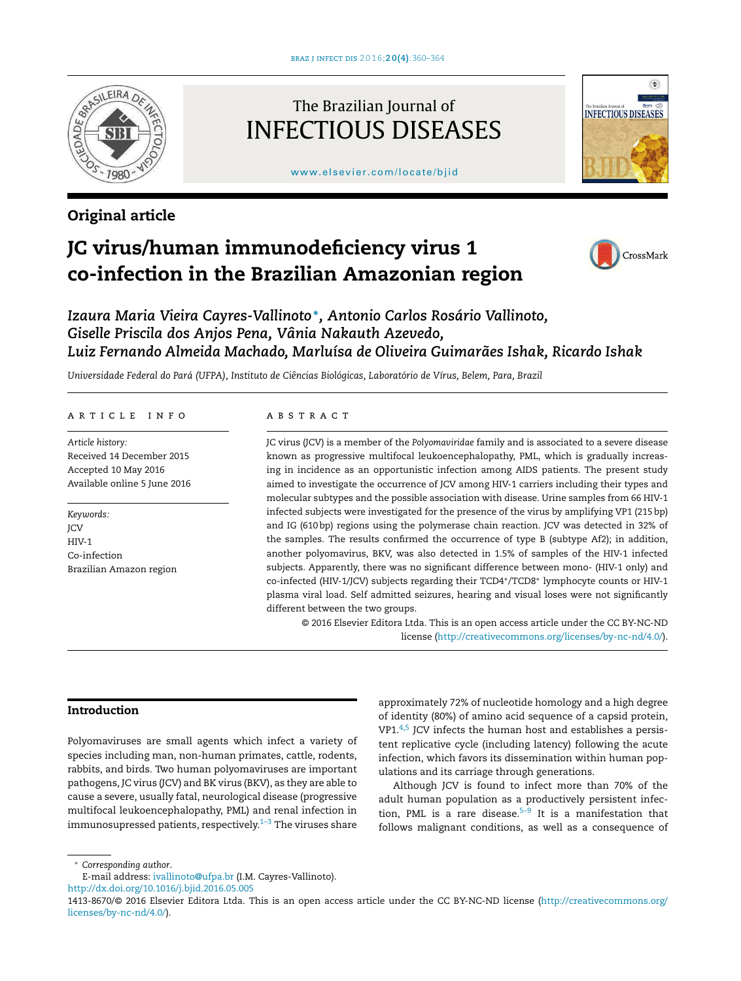

# Original article

# The Brazilian Journal of INFECTIOUS DISEASES

[www.elsevier.com/locate/bjid](http://www.elsevier.com/locate/bjid)



# JC virus/human immunodeficiency virus 1 co-infection in the Brazilian Amazonian region



*Izaura Maria Vieira Cayres-Vallinoto* <sup>∗</sup> *, Antonio Carlos Rosário Vallinoto, Giselle Priscila dos Anjos Pena, Vânia Nakauth Azevedo, Luiz Fernando Almeida Machado, Marluísa de Oliveira Guimarães Ishak, Ricardo Ishak*

*Universidade Federal do Pará (UFPA), Instituto de Ciências Biológicas, Laboratório de Vírus, Belem, Para, Brazil*

#### article info

*Article history:* Received 14 December 2015 Accepted 10 May 2016 Available online 5 June 2016

*Keywords:* JCV HIV-1 Co-infection Brazilian Amazon region

#### abstract

JC virus (JCV) is a member of the *Polyomaviridae* family and is associated to a severe disease known as progressive multifocal leukoencephalopathy, PML, which is gradually increasing in incidence as an opportunistic infection among AIDS patients. The present study aimed to investigate the occurrence of JCV among HIV-1 carriers including their types and molecular subtypes and the possible association with disease. Urine samples from 66 HIV-1 infected subjects were investigated for the presence of the virus by amplifying VP1 (215 bp) and IG (610 bp) regions using the polymerase chain reaction. JCV was detected in 32% of the samples. The results confirmed the occurrence of type B (subtype Af2); in addition, another polyomavirus, BKV, was also detected in 1.5% of samples of the HIV-1 infected subjects. Apparently, there was no significant difference between mono- (HIV-1 only) and co-infected (HIV-1/JCV) subjects regarding their TCD4<sup>+</sup> /TCD8<sup>+</sup> lymphocyte counts or HIV-1 plasma viral load. Self admitted seizures, hearing and visual loses were not significantly different between the two groups.

© 2016 Elsevier Editora Ltda. This is an open access article under the CC BY-NC-ND license [\(http://creativecommons.org/licenses/by-nc-nd/4.0/](http://creativecommons.org/licenses/by-nc-nd/4.0/)).

# Introduction

Polyomaviruses are small agents which infect a variety of species including man, non-human primates, cattle, rodents, rabbits, and birds. Two human polyomaviruses are important pathogens, JC virus (JCV) and BK virus (BKV), as they are able to cause a severe, usually fatal, neurological disease (progressive multifocal leukoencephalopathy, PML) and renal infection in immunosupressed patients, respectively. $1-3$  The viruses share

approximately 72% of nucleotide homology and a high degree of identity (80%) of amino acid sequence of a capsid protein,  $VP1.4,5$  $VP1.4,5$  JCV infects the human host and establishes a persistent replicative cycle (including latency) following the acute infection, which favors its dissemination within human populations and its carriage through generations.

Although JCV is found to infect more than 70% of the adult human population as a productively persistent infection, PML is a rare disease. $5-9$  It is a manifestation that follows malignant conditions, as well as a consequence of

<sup>∗</sup> *Corresponding author*.

E-mail address: [ivallinoto@ufpa.br](mailto:ivallinoto@ufpa.br) (I.M. Cayres-Vallinoto).

[http://dx.doi.org/10.1016/j.bjid.2016.05.005](dx.doi.org/10.1016/j.bjid.2016.05.005)

<sup>1413-8670/© 2016</sup> Elsevier Editora Ltda. This is an open access article under the CC BY-NC-ND license ([http://creativecommons.org/](http://creativecommons.org/licenses/by-nc-nd/4.0/) [licenses/by-nc-nd/4.0/\)](http://creativecommons.org/licenses/by-nc-nd/4.0/).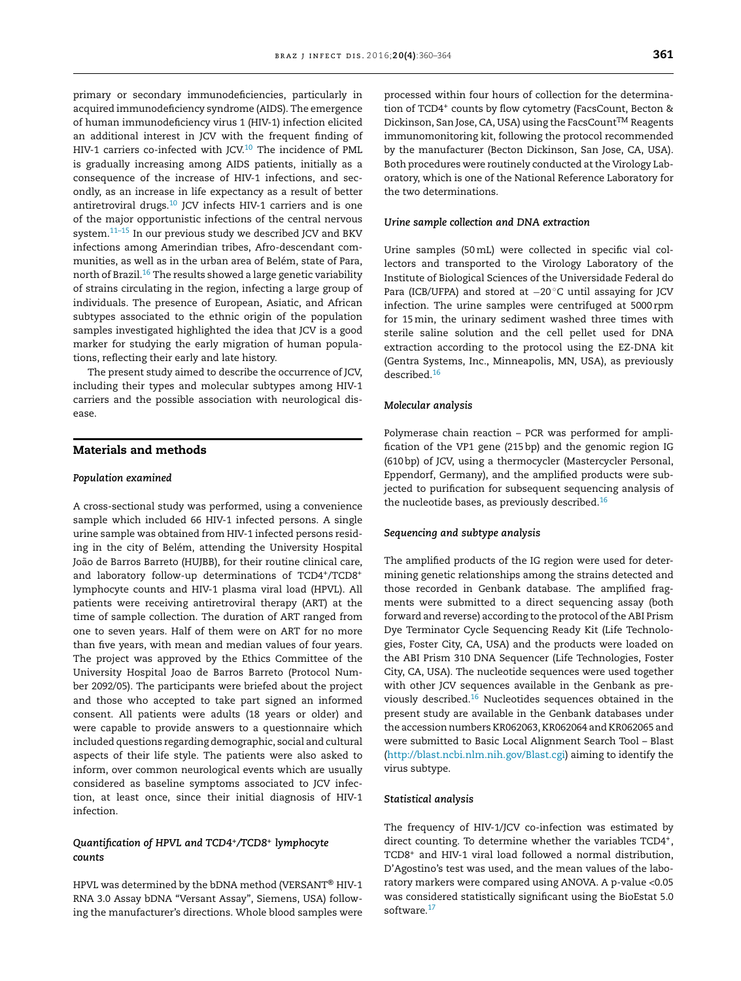primary or secondary immunodeficiencies, particularly in acquired immunodeficiency syndrome (AIDS). The emergence of human immunodeficiency virus 1 (HIV-1) infection elicited an additional interest in JCV with the frequent finding of HIV-1 carriers co-infected with JCV.<sup>[10](#page-3-0)</sup> The incidence of PML is gradually increasing among AIDS patients, initially as a consequence of the increase of HIV-1 infections, and secondly, as an increase in life expectancy as a result of better antiretroviral drugs. $10$  JCV infects HIV-1 carriers and is one of the major opportunistic infections of the central nervous system.[11–15](#page-3-0) In our previous study we described JCV and BKV infections among Amerindian tribes, Afro-descendant communities, as well as in the urban area of Belém, state of Para, north of Brazil.<sup>[16](#page-4-0)</sup> The results showed a large genetic variability of strains circulating in the region, infecting a large group of individuals. The presence of European, Asiatic, and African subtypes associated to the ethnic origin of the population samples investigated highlighted the idea that JCV is a good marker for studying the early migration of human populations, reflecting their early and late history.

The present study aimed to describe the occurrence of JCV, including their types and molecular subtypes among HIV-1 carriers and the possible association with neurological disease.

# Materials and methods

#### *Population examined*

A cross-sectional study was performed, using a convenience sample which included 66 HIV-1 infected persons. A single urine sample was obtained from HIV-1 infected persons residing in the city of Belém, attending the University Hospital João de Barros Barreto (HUJBB), for their routine clinical care, and laboratory follow-up determinations of TCD4<sup>+</sup> /TCD8<sup>+</sup> lymphocyte counts and HIV-1 plasma viral load (HPVL). All patients were receiving antiretroviral therapy (ART) at the time of sample collection. The duration of ART ranged from one to seven years. Half of them were on ART for no more than five years, with mean and median values of four years. The project was approved by the Ethics Committee of the University Hospital Joao de Barros Barreto (Protocol Number 2092/05). The participants were briefed about the project and those who accepted to take part signed an informed consent. All patients were adults (18 years or older) and were capable to provide answers to a questionnaire which included questions regarding demographic, social and cultural aspects of their life style. The patients were also asked to inform, over common neurological events which are usually considered as baseline symptoms associated to JCV infection, at least once, since their initial diagnosis of HIV-1 infection.

# *Quantification of HPVL and TCD4<sup>+</sup> /TCD8<sup>+</sup> lymphocyte counts*

HPVL was determined by the bDNA method (VERSANT® HIV-1 RNA 3.0 Assay bDNA "Versant Assay", Siemens, USA) following the manufacturer's directions. Whole blood samples were processed within four hours of collection for the determination of TCD4+ counts by flow cytometry (FacsCount, Becton & Dickinson, San Jose, CA, USA) using the FacsCount<sup>TM</sup> Reagents immunomonitoring kit, following the protocol recommended by the manufacturer (Becton Dickinson, San Jose, CA, USA). Both procedures were routinely conducted at the Virology Laboratory, which is one of the National Reference Laboratory for the two determinations.

### *Urine sample collection and DNA extraction*

Urine samples (50 mL) were collected in specific vial collectors and transported to the Virology Laboratory of the Institute of Biological Sciences of the Universidade Federal do Para (ICB/UFPA) and stored at −20 °C until assaying for JCV infection. The urine samples were centrifuged at 5000 rpm for 15 min, the urinary sediment washed three times with sterile saline solution and the cell pellet used for DNA extraction according to the protocol using the EZ-DNA kit (Gentra Systems, Inc., Minneapolis, MN, USA), as previously described.[16](#page-4-0)

#### *Molecular analysis*

Polymerase chain reaction – PCR was performed for amplification of the VP1 gene (215 bp) and the genomic region IG (610 bp) of JCV, using a thermocycler (Mastercycler Personal, Eppendorf, Germany), and the amplified products were subjected to purification for subsequent sequencing analysis of the nucleotide bases, as previously described.<sup>[16](#page-4-0)</sup>

### *Sequencing and subtype analysis*

The amplified products of the IG region were used for determining genetic relationships among the strains detected and those recorded in Genbank database. The amplified fragments were submitted to a direct sequencing assay (both forward and reverse) according to the protocol of the ABI Prism Dye Terminator Cycle Sequencing Ready Kit (Life Technologies, Foster City, CA, USA) and the products were loaded on the ABI Prism 310 DNA Sequencer (Life Technologies, Foster City, CA, USA). The nucleotide sequences were used together with other JCV sequences available in the Genbank as previously described. $16$  Nucleotides sequences obtained in the present study are available in the Genbank databases under the accession numbers KR062063, KR062064 and KR062065 and were submitted to Basic Local Alignment Search Tool – Blast ([http://blast.ncbi.nlm.nih.gov/Blast.cgi\)](http://blast.ncbi.nlm.nih.gov/Blast.cgi) aiming to identify the virus subtype.

#### *Statistical analysis*

The frequency of HIV-1/JCV co-infection was estimated by direct counting. To determine whether the variables TCD4<sup>+</sup>, TCD8<sup>+</sup> and HIV-1 viral load followed a normal distribution, D'Agostino's test was used, and the mean values of the laboratory markers were compared using ANOVA. A p-value <0.05 was considered statistically significant using the BioEstat 5.0 software.[17](#page-4-0)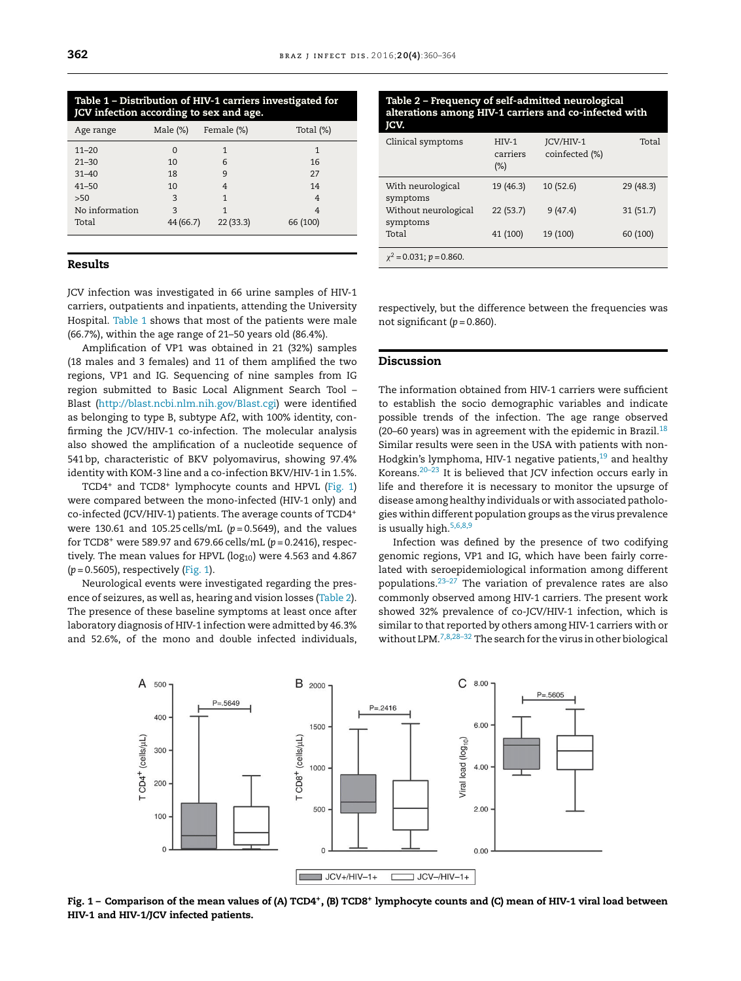| $11 - 20$      |           |          |          |
|----------------|-----------|----------|----------|
| $21 - 30$      | 10        | 6        | 16       |
| $31 - 40$      | 18        | 9        | 27       |
| $41 - 50$      | 10        |          | 14       |
| $>50$          | 3         |          |          |
| No information | २         |          |          |
| Total          | 44 (66.7) | 22(33.3) | 66 (100) |

Table 1 – Distribution of HIV-1 carriers investigated for

Age range Male (%) Female (%) Total (%)

JCV infection according to sex and age.

# Results

JCV infection was investigated in 66 urine samples of HIV-1 carriers, outpatients and inpatients, attending the University Hospital. Table 1 shows that most of the patients were male (66.7%), within the age range of 21–50 years old (86.4%).

Amplification of VP1 was obtained in 21 (32%) samples (18 males and 3 females) and 11 of them amplified the two regions, VP1 and IG. Sequencing of nine samples from IG region submitted to Basic Local Alignment Search Tool – Blast ([http://blast.ncbi.nlm.nih.gov/Blast.cgi\)](http://blast.ncbi.nlm.nih.gov/Blast.cgi) were identified as belonging to type B, subtype Af2, with 100% identity, confirming the JCV/HIV-1 co-infection. The molecular analysis also showed the amplification of a nucleotide sequence of 541 bp, characteristic of BKV polyomavirus, showing 97.4% identity with KOM-3 line and a co-infection BKV/HIV-1 in 1.5%.

TCD4<sup>+</sup> and TCD8<sup>+</sup> lymphocyte counts and HPVL (Fig. 1) were compared between the mono-infected (HIV-1 only) and co-infected (JCV/HIV-1) patients. The average counts of TCD4<sup>+</sup> were 130.61 and 105.25 cells/mL (*p* = 0.5649), and the values for TCD8<sup>+</sup> were 589.97 and 679.66 cells/mL (*p* = 0.2416), respectively. The mean values for HPVL ( $log_{10}$ ) were 4.563 and 4.867 (*p* = 0.5605), respectively (Fig. 1).

Neurological events were investigated regarding the presence of seizures, as well as, hearing and vision losses (Table 2). The presence of these baseline symptoms at least once after laboratory diagnosis of HIV-1 infection were admitted by 46.3% and 52.6%, of the mono and double infected individuals,

#### Table 2 – Frequency of self-admitted neurological alterations among HIV-1 carriers and co-infected with JCV.

| Clinical symptoms                | $HIV-1$<br>carriers<br>$(\%)$ | JCV/HIV-1<br>coinfected (%) | Total     |
|----------------------------------|-------------------------------|-----------------------------|-----------|
| With neurological<br>symptoms    | 19 (46.3)                     | 10(52.6)                    | 29 (48.3) |
| Without neurological<br>symptoms | 22(53.7)                      | 9(47.4)                     | 31(51.7)  |
| Total                            | 41 (100)                      | 19 (100)                    | 60 (100)  |
| $\chi^2$ = 0.031; p = 0.860.     |                               |                             |           |

respectively, but the difference between the frequencies was not significant  $(p = 0.860)$ .

#### Discussion

The information obtained from HIV-1 carriers were sufficient to establish the socio demographic variables and indicate possible trends of the infection. The age range observed (20–60 years) was in agreement with the epidemic in Brazil. $^{18}$  $^{18}$  $^{18}$ Similar results were seen in the USA with patients with non-Hodgkin's lymphoma, HIV-1 negative patients, $19$  and healthy Koreans.[20–23](#page-4-0) It is believed that JCV infection occurs early in life and therefore it is necessary to monitor the upsurge of disease among healthy individuals or with associated pathologies within different population groups as the virus prevalence is usually high.[5,6,8,9](#page-3-0)

Infection was defined by the presence of two codifying genomic regions, VP1 and IG, which have been fairly correlated with seroepidemiological information among different populations. $23-27$  The variation of prevalence rates are also commonly observed among HIV-1 carriers. The present work showed 32% prevalence of co-JCV/HIV-1 infection, which is similar to that reported by others among HIV-1 carriers with or without LPM.[7,8,28–32](#page-3-0) The search for the virus in other biological



Fig. 1 – Comparison of the mean values of (A) TCD4+, (B) TCD8+ lymphocyte counts and (C) mean of HIV-1 viral load between HIV-1 and HIV-1/JCV infected patients.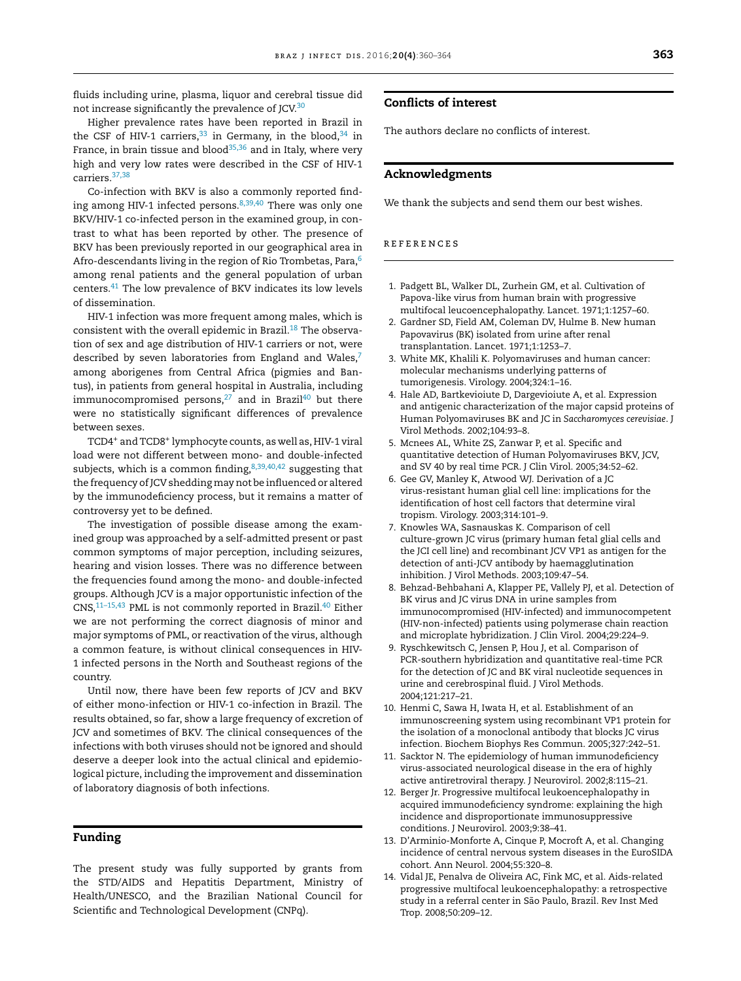<span id="page-3-0"></span>fluids including urine, plasma, liquor and cerebral tissue did not increase significantly the prevalence of JCV.<sup>[30](#page-4-0)</sup>

Higher prevalence rates have been reported in Brazil in the CSF of HIV-1 carriers,  $33$  in Germany, in the blood,  $34$  in France, in brain tissue and blood<sup>[35,36](#page-4-0)</sup> and in Italy, where very high and very low rates were described in the CSF of HIV-1 carriers.[37,38](#page-4-0)

Co-infection with BKV is also a commonly reported finding among HIV-1 infected persons. $8,39,40$  There was only one BKV/HIV-1 co-infected person in the examined group, in contrast to what has been reported by other. The presence of BKV has been previously reported in our geographical area in Afro-descendants living in the region of Rio Trombetas, Para,  $\!6$ among renal patients and the general population of urban centers.[41](#page-4-0) The low prevalence of BKV indicates its low levels of dissemination.

HIV-1 infection was more frequent among males, which is consistent with the overall epidemic in Brazil.<sup>[18](#page-4-0)</sup> The observation of sex and age distribution of HIV-1 carriers or not, were described by seven laboratories from England and Wales, $7$ among aborigenes from Central Africa (pigmies and Bantus), in patients from general hospital in Australia, including immunocompromised persons, $27$  and in Brazil<sup>[40](#page-4-0)</sup> but there were no statistically significant differences of prevalence between sexes.

TCD4<sup>+</sup> and TCD8<sup>+</sup> lymphocyte counts, as well as, HIV-1 viral load were not different between mono- and double-infected subjects, which is a common finding,  $8,39,40,42$  suggesting that the frequency of JCV shedding may not be influenced or altered by the immunodeficiency process, but it remains a matter of controversy yet to be defined.

The investigation of possible disease among the examined group was approached by a self-admitted present or past common symptoms of major perception, including seizures, hearing and vision losses. There was no difference between the frequencies found among the mono- and double-infected groups. Although JCV is a major opportunistic infection of the CNS,<sup>11-15,43</sup> PML is not commonly reported in Brazil.<sup>[40](#page-4-0)</sup> Either we are not performing the correct diagnosis of minor and major symptoms of PML, or reactivation of the virus, although a common feature, is without clinical consequences in HIV-1 infected persons in the North and Southeast regions of the country.

Until now, there have been few reports of JCV and BKV of either mono-infection or HIV-1 co-infection in Brazil. The results obtained, so far, show a large frequency of excretion of JCV and sometimes of BKV. The clinical consequences of the infections with both viruses should not be ignored and should deserve a deeper look into the actual clinical and epidemiological picture, including the improvement and dissemination of laboratory diagnosis of both infections.

#### Funding

The present study was fully supported by grants from the STD/AIDS and Hepatitis Department, Ministry of Health/UNESCO, and the Brazilian National Council for Scientific and Technological Development (CNPq).

# Conflicts of interest

The authors declare no conflicts of interest.

# Acknowledgments

We thank the subjects and send them our best wishes.

#### references

- 1. Padgett BL, Walker DL, Zurhein GM, et al. Cultivation of Papova-like virus from human brain with progressive multifocal leucoencephalopathy. Lancet. 1971;1:1257–60.
- 2. Gardner SD, Field AM, Coleman DV, Hulme B. New human Papovavirus (BK) isolated from urine after renal transplantation. Lancet. 1971;1:1253–7.
- 3. White MK, Khalili K. Polyomaviruses and human cancer: molecular mechanisms underlying patterns of tumorigenesis. Virology. 2004;324:1–16.
- 4. Hale AD, Bartkevioiute D, Dargevioiute A, et al. Expression and antigenic characterization of the major capsid proteins of Human Polyomaviruses BK and JC in *Saccharomyces cerevisiae*. J Virol Methods. 2002;104:93–8.
- 5. Mcnees AL, White ZS, Zanwar P, et al. Specific and quantitative detection of Human Polyomaviruses BKV, JCV, and SV 40 by real time PCR. J Clin Virol. 2005;34:52–62.
- 6. Gee GV, Manley K, Atwood WJ. Derivation of a JC virus-resistant human glial cell line: implications for the identification of host cell factors that determine viral tropism. Virology. 2003;314:101–9.
- 7. Knowles WA, Sasnauskas K. Comparison of cell culture-grown JC virus (primary human fetal glial cells and the JCI cell line) and recombinant JCV VP1 as antigen for the detection of anti-JCV antibody by haemagglutination inhibition. J Virol Methods. 2003;109:47–54.
- 8. Behzad-Behbahani A, Klapper PE, Vallely PJ, et al. Detection of BK virus and JC virus DNA in urine samples from immunocompromised (HIV-infected) and immunocompetent (HIV-non-infected) patients using polymerase chain reaction and microplate hybridization. J Clin Virol. 2004;29:224–9.
- 9. Ryschkewitsch C, Jensen P, Hou J, et al. Comparison of PCR-southern hybridization and quantitative real-time PCR for the detection of JC and BK viral nucleotide sequences in urine and cerebrospinal fluid. J Virol Methods. 2004;121:217–21.
- 10. Henmi C, Sawa H, Iwata H, et al. Establishment of an immunoscreening system using recombinant VP1 protein for the isolation of a monoclonal antibody that blocks JC virus infection. Biochem Biophys Res Commun. 2005;327:242–51.
- 11. Sacktor N. The epidemiology of human immunodeficiency virus-associated neurological disease in the era of highly active antiretroviral therapy. J Neurovirol. 2002;8:115–21.
- 12. Berger Jr. Progressive multifocal leukoencephalopathy in acquired immunodeficiency syndrome: explaining the high incidence and disproportionate immunosuppressive conditions. J Neurovirol. 2003;9:38–41.
- 13. D'Arminio-Monforte A, Cinque P, Mocroft A, et al. Changing incidence of central nervous system diseases in the EuroSIDA cohort. Ann Neurol. 2004;55:320–8.
- 14. Vidal JE, Penalva de Oliveira AC, Fink MC, et al. Aids-related progressive multifocal leukoencephalopathy: a retrospective study in a referral center in São Paulo, Brazil. Rev Inst Med Trop. 2008;50:209–12.